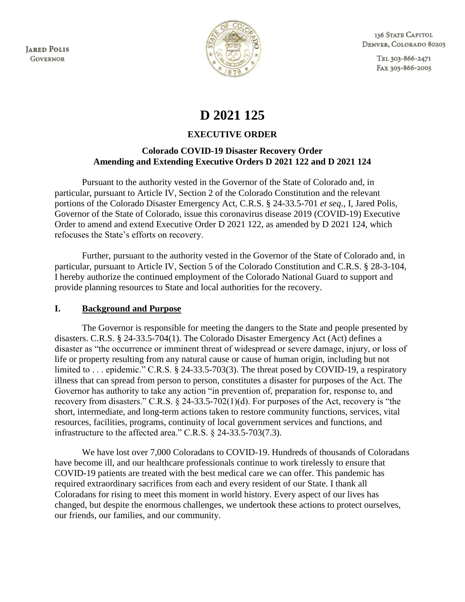**JARED POLIS GOVERNOR** 



136 STATE CAPITOL DENVER, COLORADO 80203

> TEL 303-866-2471 FAX 303-866-2003

# **D 2021 125**

## **EXECUTIVE ORDER**

## **Colorado COVID-19 Disaster Recovery Order Amending and Extending Executive Orders D 2021 122 and D 2021 124**

Pursuant to the authority vested in the Governor of the State of Colorado and, in particular, pursuant to Article IV, Section 2 of the Colorado Constitution and the relevant portions of the Colorado Disaster Emergency Act, C.R.S. § 24-33.5-701 *et seq*., I, Jared Polis, Governor of the State of Colorado, issue this coronavirus disease 2019 (COVID-19) Executive Order to amend and extend Executive Order D 2021 122, as amended by D 2021 124, which refocuses the State's efforts on recovery.

Further, pursuant to the authority vested in the Governor of the State of Colorado and, in particular, pursuant to Article IV, Section 5 of the Colorado Constitution and C.R.S. § 28-3-104, I hereby authorize the continued employment of the Colorado National Guard to support and provide planning resources to State and local authorities for the recovery.

#### **I. Background and Purpose**

The Governor is responsible for meeting the dangers to the State and people presented by disasters. C.R.S. § 24-33.5-704(1). The Colorado Disaster Emergency Act (Act) defines a disaster as "the occurrence or imminent threat of widespread or severe damage, injury, or loss of life or property resulting from any natural cause or cause of human origin, including but not limited to ... epidemic." C.R.S. § 24-33.5-703(3). The threat posed by COVID-19, a respiratory illness that can spread from person to person, constitutes a disaster for purposes of the Act. The Governor has authority to take any action "in prevention of, preparation for, response to, and recovery from disasters." C.R.S. § 24-33.5-702(1)(d). For purposes of the Act, recovery is "the short, intermediate, and long-term actions taken to restore community functions, services, vital resources, facilities, programs, continuity of local government services and functions, and infrastructure to the affected area." C.R.S. § 24-33.5-703(7.3).

We have lost over 7,000 Coloradans to COVID-19. Hundreds of thousands of Coloradans have become ill, and our healthcare professionals continue to work tirelessly to ensure that COVID-19 patients are treated with the best medical care we can offer. This pandemic has required extraordinary sacrifices from each and every resident of our State. I thank all Coloradans for rising to meet this moment in world history. Every aspect of our lives has changed, but despite the enormous challenges, we undertook these actions to protect ourselves, our friends, our families, and our community.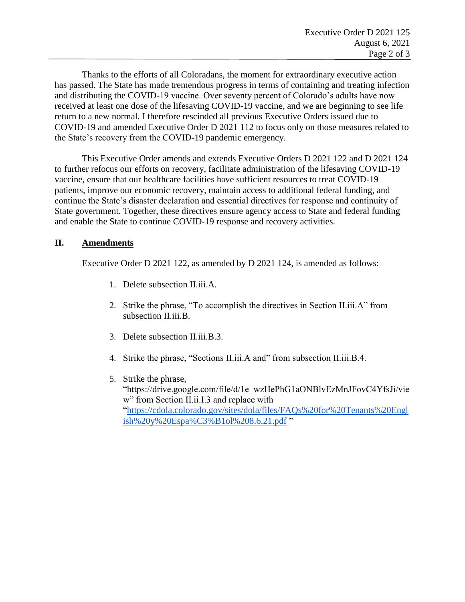Thanks to the efforts of all Coloradans, the moment for extraordinary executive action has passed. The State has made tremendous progress in terms of containing and treating infection and distributing the COVID-19 vaccine. Over seventy percent of Colorado's adults have now received at least one dose of the lifesaving COVID-19 vaccine, and we are beginning to see life return to a new normal. I therefore rescinded all previous Executive Orders issued due to COVID-19 and amended Executive Order D 2021 112 to focus only on those measures related to the State's recovery from the COVID-19 pandemic emergency.

This Executive Order amends and extends Executive Orders D 2021 122 and D 2021 124 to further refocus our efforts on recovery, facilitate administration of the lifesaving COVID-19 vaccine, ensure that our healthcare facilities have sufficient resources to treat COVID-19 patients, improve our economic recovery, maintain access to additional federal funding, and continue the State's disaster declaration and essential directives for response and continuity of State government. Together, these directives ensure agency access to State and federal funding and enable the State to continue COVID-19 response and recovery activities.

#### **II. Amendments**

Executive Order D 2021 122, as amended by D 2021 124, is amended as follows:

- 1. Delete subsection II.iii.A.
- 2. Strike the phrase, "To accomplish the directives in Section II.iii.A" from subsection II.iii.B.
- 3. Delete subsection II.iii.B.3.
- 4. Strike the phrase, "Sections II.iii.A and" from subsection II.iii.B.4.
- 5. Strike the phrase, "https://drive.google.com/file/d/1e\_wzHePhG1aONBlvEzMnJFovC4YfsJi/vie w" from Section II.ii.I.3 and replace with ["https://cdola.colorado.gov/sites/dola/files/FAQs%20for%20Tenants%20Engl](https://cdola.colorado.gov/sites/dola/files/FAQs%20for%20Tenants%20English%20y%20Espa%C3%B1ol%208.6.21.pdf) [ish%20y%20Espa%C3%B1ol%208.6.21.pdf](https://cdola.colorado.gov/sites/dola/files/FAQs%20for%20Tenants%20English%20y%20Espa%C3%B1ol%208.6.21.pdf) "